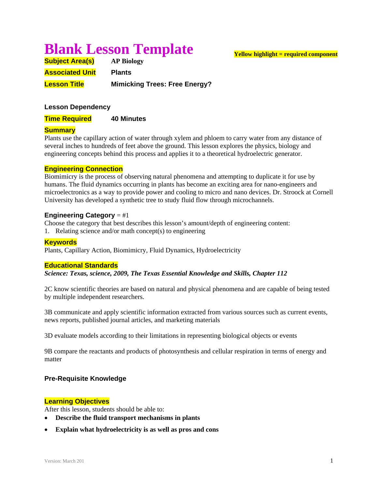# **Blank Lesson Template**

| <b>Subject Area(s)</b> | <b>AP Biology</b>                    |
|------------------------|--------------------------------------|
| <b>Associated Unit</b> | <b>Plants</b>                        |
| <b>Lesson Title</b>    | <b>Mimicking Trees: Free Energy?</b> |

# **Lesson Dependency**

**Time Required 40 Minutes** 

# **Summary**

Plants use the capillary action of water through xylem and phloem to carry water from any distance of several inches to hundreds of feet above the ground. This lesson explores the physics, biology and engineering concepts behind this process and applies it to a theoretical hydroelectric generator.

#### **Engineering Connection**

Biomimicry is the process of observing natural phenomena and attempting to duplicate it for use by humans. The fluid dynamics occurring in plants has become an exciting area for nano-engineers and microelectronics as a way to provide power and cooling to micro and nano devices. Dr. Stroock at Cornell University has developed a synthetic tree to study fluid flow through microchannels.

#### **Engineering Category** = #1

Choose the category that best describes this lesson's amount/depth of engineering content:

1. Relating science and/or math concept(s) to engineering

## **Keywords**

Plants, Capillary Action, Biomimicry, Fluid Dynamics, Hydroelectricity

#### **Educational Standards**

*Science: Texas, science, 2009, The Texas Essential Knowledge and Skills, Chapter 112* 

2C know scientific theories are based on natural and physical phenomena and are capable of being tested by multiple independent researchers.

3B communicate and apply scientific information extracted from various sources such as current events, news reports, published journal articles, and marketing materials

3D evaluate models according to their limitations in representing biological objects or events

9B compare the reactants and products of photosynthesis and cellular respiration in terms of energy and matter

# **Pre-Requisite Knowledge**

# **Learning Objectives**

After this lesson, students should be able to:

- **Describe the fluid transport mechanisms in plants**
- **Explain what hydroelectricity is as well as pros and cons**

# **Yellow highlight = required component**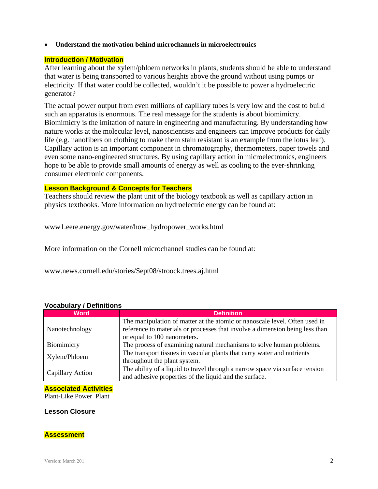**Understand the motivation behind microchannels in microelectronics** 

# **Introduction / Motivation**

After learning about the xylem/phloem networks in plants, students should be able to understand that water is being transported to various heights above the ground without using pumps or electricity. If that water could be collected, wouldn't it be possible to power a hydroelectric generator?

The actual power output from even millions of capillary tubes is very low and the cost to build such an apparatus is enormous. The real message for the students is about biomimicry. Biomimicry is the imitation of nature in engineering and manufacturing. By understanding how nature works at the molecular level, nanoscientists and engineers can improve products for daily life (e.g. nanofibers on clothing to make them stain resistant is an example from the lotus leaf). Capillary action is an important component in chromatography, thermometers, paper towels and even some nano-engineered structures. By using capillary action in microelectronics, engineers hope to be able to provide small amounts of energy as well as cooling to the ever-shrinking consumer electronic components.

#### **Lesson Background & Concepts for Teachers**

Teachers should review the plant unit of the biology textbook as well as capillary action in physics textbooks. More information on hydroelectric energy can be found at:

www1.eere.energy.gov/water/how\_hydropower\_works.html

More information on the Cornell microchannel studies can be found at:

www.news.cornell.edu/stories/Sept08/stroock.trees.aj.html

| <b>Word</b>             | <b>Definition</b>                                                                                                                                          |
|-------------------------|------------------------------------------------------------------------------------------------------------------------------------------------------------|
| Nanotechnology          | The manipulation of matter at the atomic or nanoscale level. Often used in<br>reference to materials or processes that involve a dimension being less than |
|                         | or equal to 100 nanometers.                                                                                                                                |
| Biomimicry              | The process of examining natural mechanisms to solve human problems.                                                                                       |
| Xylem/Phloem            | The transport tissues in vascular plants that carry water and nutrients                                                                                    |
|                         | throughout the plant system.                                                                                                                               |
| <b>Capillary Action</b> | The ability of a liquid to travel through a narrow space via surface tension                                                                               |
|                         | and adhesive properties of the liquid and the surface.                                                                                                     |

# **Vocabulary / Definitions**

# **Associated Activities**

Plant-Like Power Plant

#### **Lesson Closure**

# **Assessment**